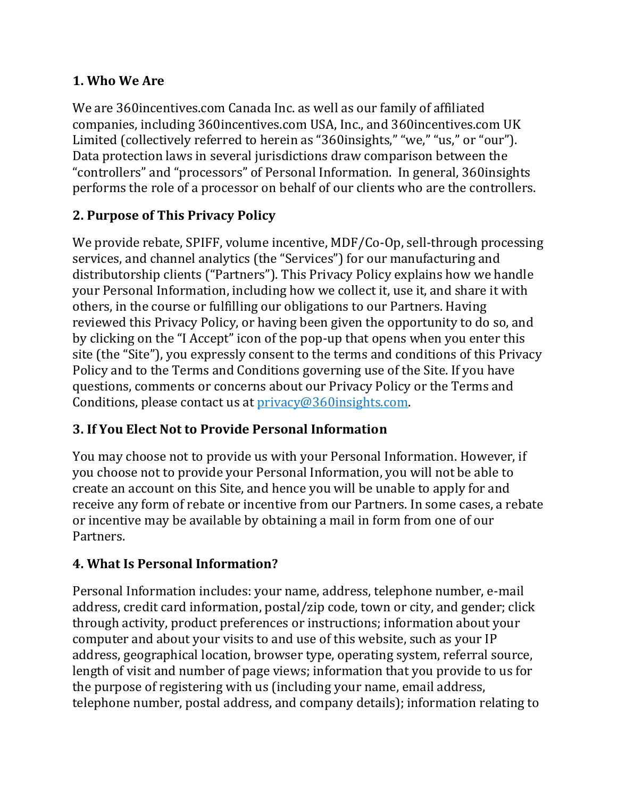### **1. Who We Are**

We are 360incentives.com Canada Inc. as well as our family of affiliated companies, including 360incentives.com USA, Inc., and 360incentives.com UK Limited (collectively referred to herein as "360insights," "we," "us," or "our"). Data protection laws in several jurisdictions draw comparison between the "controllers" and "processors" of Personal Information. In general, 360insights performs the role of a processor on behalf of our clients who are the controllers.

# **2. Purpose of This Privacy Policy**

We provide rebate, SPIFF, volume incentive, MDF/Co-Op, sell-through processing services, and channel analytics (the "Services") for our manufacturing and distributorship clients ("Partners"). This Privacy Policy explains how we handle your Personal Information, including how we collect it, use it, and share it with others, in the course or fulfilling our obligations to our Partners. Having reviewed this Privacy Policy, or having been given the opportunity to do so, and by clicking on the "I Accept" icon of the pop-up that opens when you enter this site (the "Site"), you expressly consent to the terms and conditions of this Privacy Policy and to the Terms and Conditions governing use of the Site. If you have questions, comments or concerns about our Privacy Policy or the Terms and Conditions, please contact us at [privacy@360insights.com.](mailto:privacy@360insights.com)

# **3. If You Elect Not to Provide Personal Information**

You may choose not to provide us with your Personal Information. However, if you choose not to provide your Personal Information, you will not be able to create an account on this Site, and hence you will be unable to apply for and receive any form of rebate or incentive from our Partners. In some cases, a rebate or incentive may be available by obtaining a mail in form from one of our Partners.

# **4. What Is Personal Information?**

Personal Information includes: your name, address, telephone number, e-mail address, credit card information, postal/zip code, town or city, and gender; click through activity, product preferences or instructions; information about your computer and about your visits to and use of this website, such as your IP address, geographical location, browser type, operating system, referral source, length of visit and number of page views; information that you provide to us for the purpose of registering with us (including your name, email address, telephone number, postal address, and company details); information relating to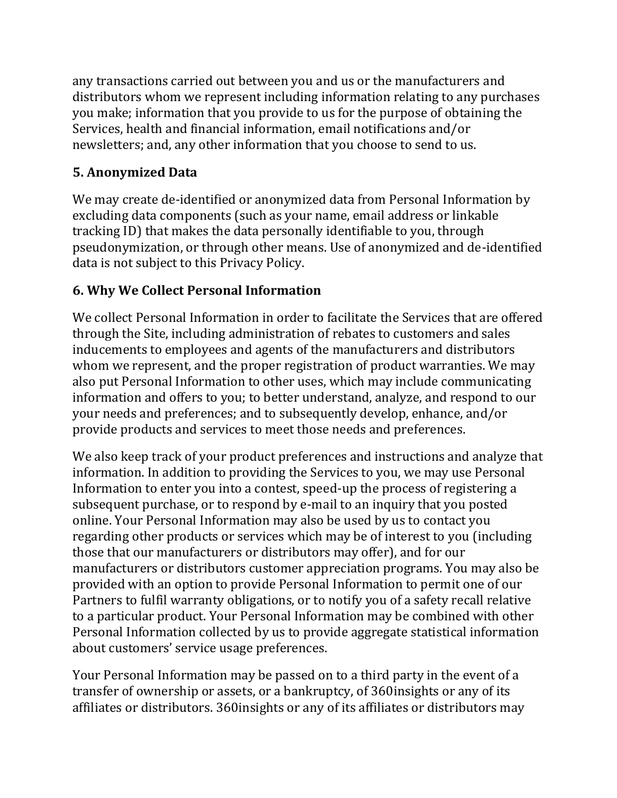any transactions carried out between you and us or the manufacturers and distributors whom we represent including information relating to any purchases you make; information that you provide to us for the purpose of obtaining the Services, health and financial information, email notifications and/or newsletters; and, any other information that you choose to send to us.

# **5. Anonymized Data**

We may create de-identified or anonymized data from Personal Information by excluding data components (such as your name, email address or linkable tracking ID) that makes the data personally identifiable to you, through pseudonymization, or through other means. Use of anonymized and de-identified data is not subject to this Privacy Policy.

# **6. Why We Collect Personal Information**

We collect Personal Information in order to facilitate the Services that are offered through the Site, including administration of rebates to customers and sales inducements to employees and agents of the manufacturers and distributors whom we represent, and the proper registration of product warranties. We may also put Personal Information to other uses, which may include communicating information and offers to you; to better understand, analyze, and respond to our your needs and preferences; and to subsequently develop, enhance, and/or provide products and services to meet those needs and preferences.

We also keep track of your product preferences and instructions and analyze that information. In addition to providing the Services to you, we may use Personal Information to enter you into a contest, speed-up the process of registering a subsequent purchase, or to respond by e-mail to an inquiry that you posted online. Your Personal Information may also be used by us to contact you regarding other products or services which may be of interest to you (including those that our manufacturers or distributors may offer), and for our manufacturers or distributors customer appreciation programs. You may also be provided with an option to provide Personal Information to permit one of our Partners to fulfil warranty obligations, or to notify you of a safety recall relative to a particular product. Your Personal Information may be combined with other Personal Information collected by us to provide aggregate statistical information about customers' service usage preferences.

Your Personal Information may be passed on to a third party in the event of a transfer of ownership or assets, or a bankruptcy, of 360insights or any of its affiliates or distributors. 360insights or any of its affiliates or distributors may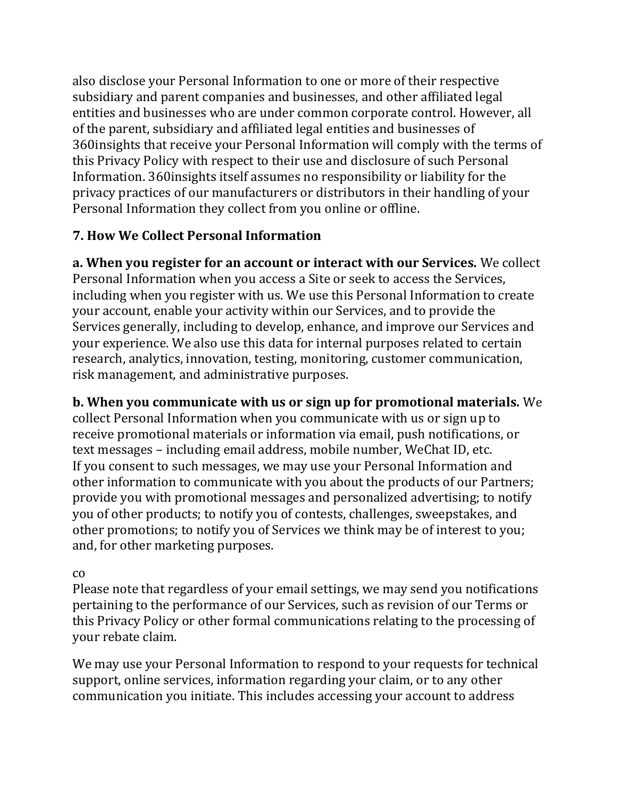also disclose your Personal Information to one or more of their respective subsidiary and parent companies and businesses, and other affiliated legal entities and businesses who are under common corporate control. However, all of the parent, subsidiary and affiliated legal entities and businesses of 360insights that receive your Personal Information will comply with the terms of this Privacy Policy with respect to their use and disclosure of such Personal Information. 360insights itself assumes no responsibility or liability for the privacy practices of our manufacturers or distributors in their handling of your Personal Information they collect from you online or offline.

### **7. How We Collect Personal Information**

**a. When you register for an account or interact with our Services.** We collect Personal Information when you access a Site or seek to access the Services, including when you register with us. We use this Personal Information to create your account, enable your activity within our Services, and to provide the Services generally, including to develop, enhance, and improve our Services and your experience. We also use this data for internal purposes related to certain research, analytics, innovation, testing, monitoring, customer communication, risk management, and administrative purposes.

**b. When you communicate with us or sign up for promotional materials.** We collect Personal Information when you communicate with us or sign up to receive promotional materials or information via email, push notifications, or text messages – including email address, mobile number, WeChat ID, etc. If you consent to such messages, we may use your Personal Information and other information to communicate with you about the products of our Partners; provide you with promotional messages and personalized advertising; to notify you of other products; to notify you of contests, challenges, sweepstakes, and other promotions; to notify you of Services we think may be of interest to you; and, for other marketing purposes.

#### co

Please note that regardless of your email settings, we may send you notifications pertaining to the performance of our Services, such as revision of our Terms or this Privacy Policy or other formal communications relating to the processing of your rebate claim.

We may use your Personal Information to respond to your requests for technical support, online services, information regarding your claim, or to any other communication you initiate. This includes accessing your account to address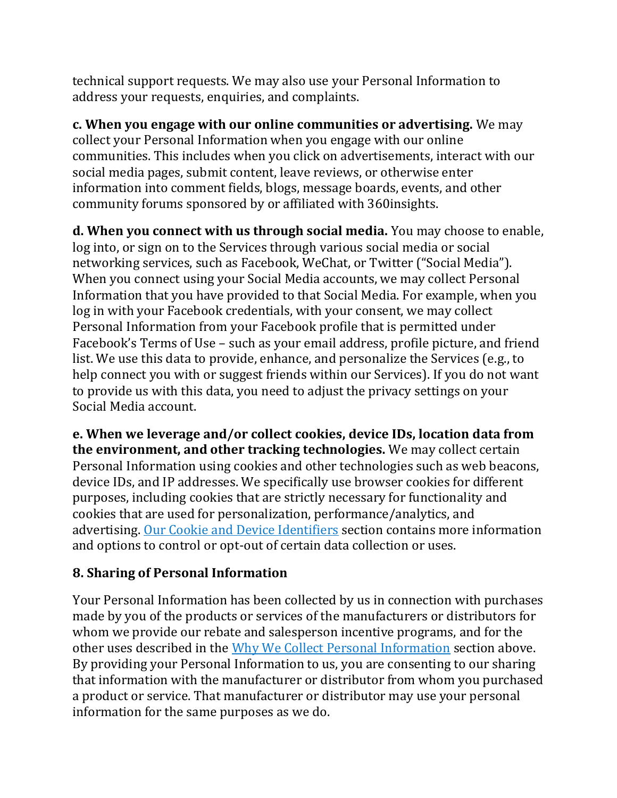technical support requests. We may also use your Personal Information to address your requests, enquiries, and complaints.

**c. When you engage with our online communities or advertising.** We may collect your Personal Information when you engage with our online communities. This includes when you click on advertisements, interact with our social media pages, submit content, leave reviews, or otherwise enter information into comment fields, blogs, message boards, events, and other community forums sponsored by or affiliated with 360insights.

**d. When you connect with us through social media.** You may choose to enable, log into, or sign on to the Services through various social media or social networking services, such as Facebook, WeChat, or Twitter ("Social Media"). When you connect using your Social Media accounts, we may collect Personal Information that you have provided to that Social Media. For example, when you log in with your Facebook credentials, with your consent, we may collect Personal Information from your Facebook profile that is permitted under Facebook's Terms of Use – such as your email address, profile picture, and friend list. We use this data to provide, enhance, and personalize the Services (e.g., to help connect you with or suggest friends within our Services). If you do not want to provide us with this data, you need to adjust the privacy settings on your Social Media account.

**e. When we leverage and/or collect cookies, device IDs, location data from the environment, and other tracking technologies.** We may collect certain Personal Information using cookies and other technologies such as web beacons, device IDs, and IP addresses. We specifically use browser cookies for different purposes, including cookies that are strictly necessary for functionality and cookies that are used for personalization, performance/analytics, and advertising. [Our Cookie and Device Identifiers](https://360insights.com/privacy-page/#Cookies) section contains more information and options to control or opt-out of certain data collection or uses.

# **8. Sharing of Personal Information**

Your Personal Information has been collected by us in connection with purchases made by you of the products or services of the manufacturers or distributors for whom we provide our rebate and salesperson incentive programs, and for the other uses described in the [Why We Collect Personal Information](https://360insights.com/privacy-page/#why-collect) section above. By providing your Personal Information to us, you are consenting to our sharing that information with the manufacturer or distributor from whom you purchased a product or service. That manufacturer or distributor may use your personal information for the same purposes as we do.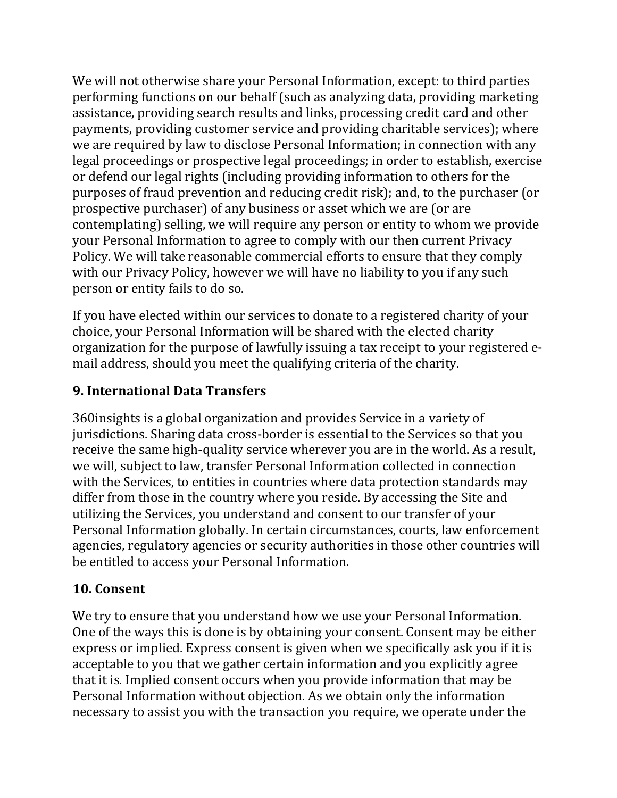We will not otherwise share your Personal Information, except: to third parties performing functions on our behalf (such as analyzing data, providing marketing assistance, providing search results and links, processing credit card and other payments, providing customer service and providing charitable services); where we are required by law to disclose Personal Information; in connection with any legal proceedings or prospective legal proceedings; in order to establish, exercise or defend our legal rights (including providing information to others for the purposes of fraud prevention and reducing credit risk); and, to the purchaser (or prospective purchaser) of any business or asset which we are (or are contemplating) selling, we will require any person or entity to whom we provide your Personal Information to agree to comply with our then current Privacy Policy. We will take reasonable commercial efforts to ensure that they comply with our Privacy Policy, however we will have no liability to you if any such person or entity fails to do so.

If you have elected within our services to donate to a registered charity of your choice, your Personal Information will be shared with the elected charity organization for the purpose of lawfully issuing a tax receipt to your registered email address, should you meet the qualifying criteria of the charity.

### **9. International Data Transfers**

360insights is a global organization and provides Service in a variety of jurisdictions. Sharing data cross-border is essential to the Services so that you receive the same high-quality service wherever you are in the world. As a result, we will, subject to law, transfer Personal Information collected in connection with the Services, to entities in countries where data protection standards may differ from those in the country where you reside. By accessing the Site and utilizing the Services, you understand and consent to our transfer of your Personal Information globally. In certain circumstances, courts, law enforcement agencies, regulatory agencies or security authorities in those other countries will be entitled to access your Personal Information.

### **10. Consent**

We try to ensure that you understand how we use your Personal Information. One of the ways this is done is by obtaining your consent. Consent may be either express or implied. Express consent is given when we specifically ask you if it is acceptable to you that we gather certain information and you explicitly agree that it is. Implied consent occurs when you provide information that may be Personal Information without objection. As we obtain only the information necessary to assist you with the transaction you require, we operate under the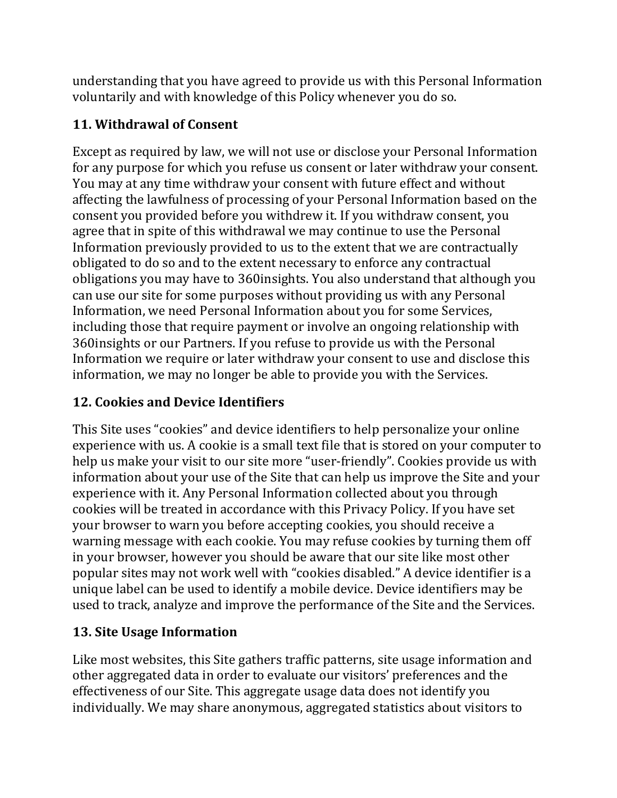understanding that you have agreed to provide us with this Personal Information voluntarily and with knowledge of this Policy whenever you do so.

# **11. Withdrawal of Consent**

Except as required by law, we will not use or disclose your Personal Information for any purpose for which you refuse us consent or later withdraw your consent. You may at any time withdraw your consent with future effect and without affecting the lawfulness of processing of your Personal Information based on the consent you provided before you withdrew it. If you withdraw consent, you agree that in spite of this withdrawal we may continue to use the Personal Information previously provided to us to the extent that we are contractually obligated to do so and to the extent necessary to enforce any contractual obligations you may have to 360insights. You also understand that although you can use our site for some purposes without providing us with any Personal Information, we need Personal Information about you for some Services, including those that require payment or involve an ongoing relationship with 360insights or our Partners. If you refuse to provide us with the Personal Information we require or later withdraw your consent to use and disclose this information, we may no longer be able to provide you with the Services.

# **12. Cookies and Device Identifiers**

This Site uses "cookies" and device identifiers to help personalize your online experience with us. A cookie is a small text file that is stored on your computer to help us make your visit to our site more "user-friendly". Cookies provide us with information about your use of the Site that can help us improve the Site and your experience with it. Any Personal Information collected about you through cookies will be treated in accordance with this Privacy Policy. If you have set your browser to warn you before accepting cookies, you should receive a warning message with each cookie. You may refuse cookies by turning them off in your browser, however you should be aware that our site like most other popular sites may not work well with "cookies disabled." A device identifier is a unique label can be used to identify a mobile device. Device identifiers may be used to track, analyze and improve the performance of the Site and the Services.

# **13. Site Usage Information**

Like most websites, this Site gathers traffic patterns, site usage information and other aggregated data in order to evaluate our visitors' preferences and the effectiveness of our Site. This aggregate usage data does not identify you individually. We may share anonymous, aggregated statistics about visitors to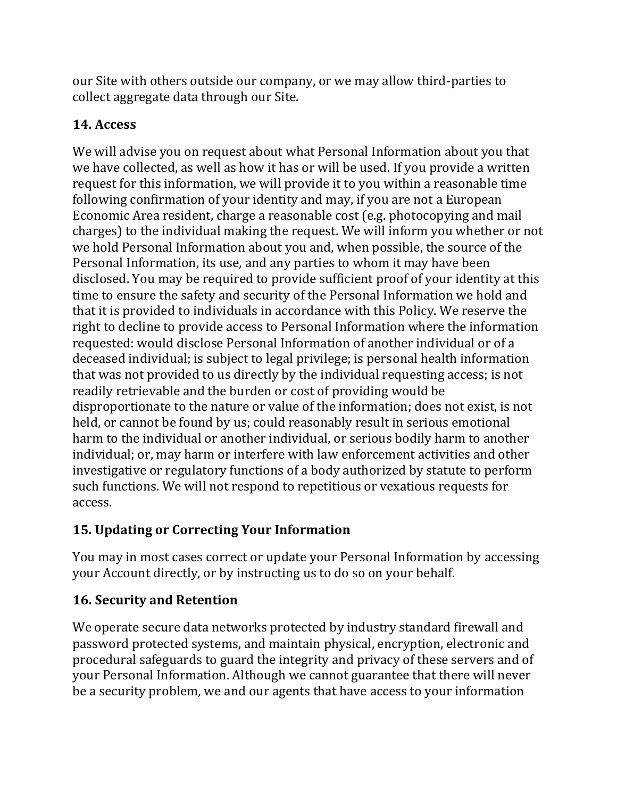our Site with others outside our company, or we may allow third-parties to collect aggregate data through our Site.

# **14. Access**

We will advise you on request about what Personal Information about you that we have collected, as well as how it has or will be used. If you provide a written request for this information, we will provide it to you within a reasonable time following confirmation of your identity and may, if you are not a European Economic Area resident, charge a reasonable cost (e.g. photocopying and mail charges) to the individual making the request. We will inform you whether or not we hold Personal Information about you and, when possible, the source of the Personal Information, its use, and any parties to whom it may have been disclosed. You may be required to provide sufficient proof of your identity at this time to ensure the safety and security of the Personal Information we hold and that it is provided to individuals in accordance with this Policy. We reserve the right to decline to provide access to Personal Information where the information requested: would disclose Personal Information of another individual or of a deceased individual; is subject to legal privilege; is personal health information that was not provided to us directly by the individual requesting access; is not readily retrievable and the burden or cost of providing would be disproportionate to the nature or value of the information; does not exist, is not held, or cannot be found by us; could reasonably result in serious emotional harm to the individual or another individual, or serious bodily harm to another individual; or, may harm or interfere with law enforcement activities and other investigative or regulatory functions of a body authorized by statute to perform such functions. We will not respond to repetitious or vexatious requests for access.

# **15. Updating or Correcting Your Information**

You may in most cases correct or update your Personal Information by accessing your Account directly, or by instructing us to do so on your behalf.

# **16. Security and Retention**

We operate secure data networks protected by industry standard firewall and password protected systems, and maintain physical, encryption, electronic and procedural safeguards to guard the integrity and privacy of these servers and of your Personal Information. Although we cannot guarantee that there will never be a security problem, we and our agents that have access to your information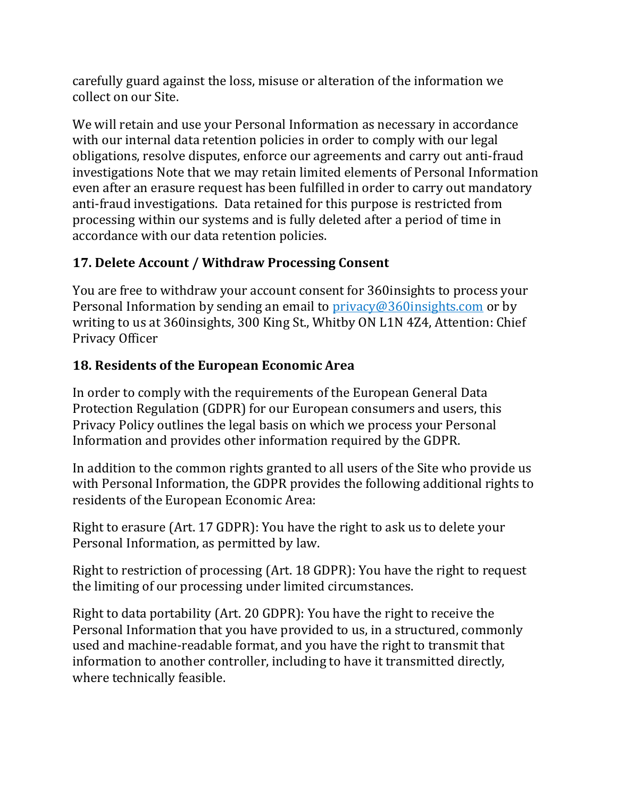carefully guard against the loss, misuse or alteration of the information we collect on our Site.

We will retain and use your Personal Information as necessary in accordance with our internal data retention policies in order to comply with our legal obligations, resolve disputes, enforce our agreements and carry out anti-fraud investigations Note that we may retain limited elements of Personal Information even after an erasure request has been fulfilled in order to carry out mandatory anti-fraud investigations. Data retained for this purpose is restricted from processing within our systems and is fully deleted after a period of time in accordance with our data retention policies.

# **17. Delete Account / Withdraw Processing Consent**

You are free to withdraw your account consent for 360insights to process your Personal Information by sending an email to [privacy@360insights.com](mailto:privacy@360insights.com) or by writing to us at 360insights, 300 King St., Whitby ON L1N 4Z4, Attention: Chief Privacy Officer

# **18. Residents of the European Economic Area**

In order to comply with the requirements of the European General Data Protection Regulation (GDPR) for our European consumers and users, this Privacy Policy outlines the legal basis on which we process your Personal Information and provides other information required by the GDPR.

In addition to the common rights granted to all users of the Site who provide us with Personal Information, the GDPR provides the following additional rights to residents of the European Economic Area:

Right to erasure (Art. 17 GDPR): You have the right to ask us to delete your Personal Information, as permitted by law.

Right to restriction of processing (Art. 18 GDPR): You have the right to request the limiting of our processing under limited circumstances.

Right to data portability (Art. 20 GDPR): You have the right to receive the Personal Information that you have provided to us, in a structured, commonly used and machine-readable format, and you have the right to transmit that information to another controller, including to have it transmitted directly, where technically feasible.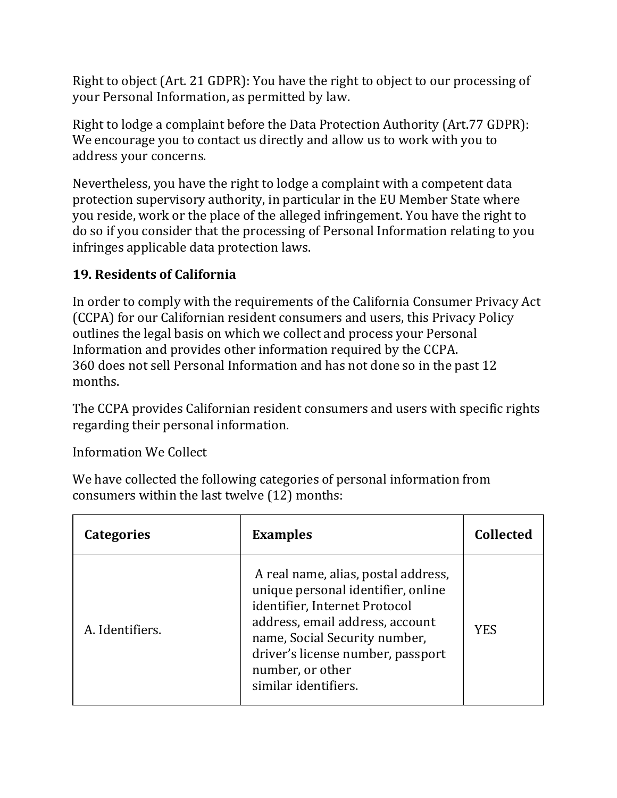Right to object (Art. 21 GDPR): You have the right to object to our processing of your Personal Information, as permitted by law.

Right to lodge a complaint before the Data Protection Authority (Art.77 GDPR): We encourage you to contact us directly and allow us to work with you to address your concerns.

Nevertheless, you have the right to lodge a complaint with a competent data protection supervisory authority, in particular in the EU Member State where you reside, work or the place of the alleged infringement. You have the right to do so if you consider that the processing of Personal Information relating to you infringes applicable data protection laws.

# **19. Residents of California**

In order to comply with the requirements of the California Consumer Privacy Act (CCPA) for our Californian resident consumers and users, this Privacy Policy outlines the legal basis on which we collect and process your Personal Information and provides other information required by the CCPA. 360 does not sell Personal Information and has not done so in the past 12 months.

The CCPA provides Californian resident consumers and users with specific rights regarding their personal information.

Information We Collect

We have collected the following categories of personal information from consumers within the last twelve (12) months:

| <b>Categories</b> | <b>Examples</b>                                                                                                                                                                                                                                                 | <b>Collected</b> |
|-------------------|-----------------------------------------------------------------------------------------------------------------------------------------------------------------------------------------------------------------------------------------------------------------|------------------|
| A. Identifiers.   | A real name, alias, postal address,<br>unique personal identifier, online<br>identifier, Internet Protocol<br>address, email address, account<br>name, Social Security number,<br>driver's license number, passport<br>number, or other<br>similar identifiers. | <b>YES</b>       |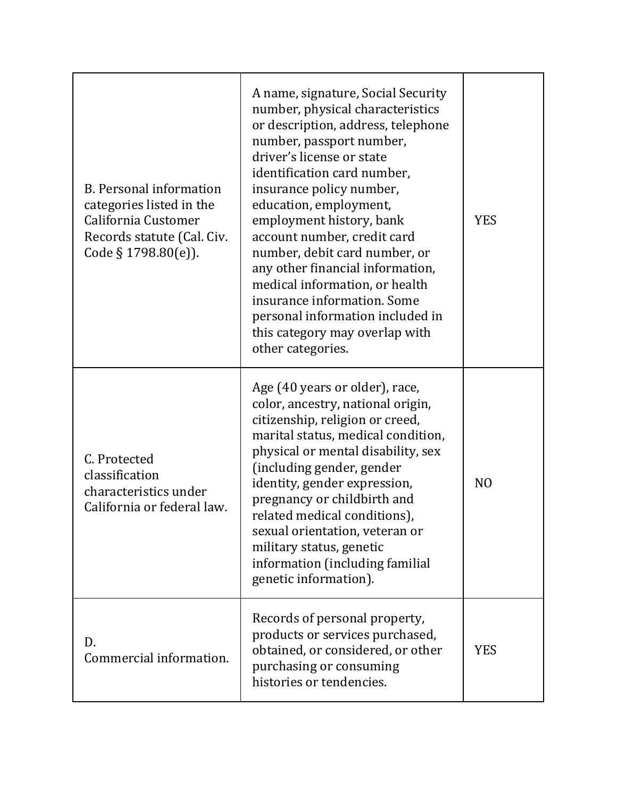| <b>B.</b> Personal information<br>categories listed in the<br>California Customer<br>Records statute (Cal. Civ.<br>Code $\S 1798.80(e)$ ). | A name, signature, Social Security<br>number, physical characteristics<br>or description, address, telephone<br>number, passport number,<br>driver's license or state<br>identification card number,<br>insurance policy number,<br>education, employment,<br>employment history, bank<br>account number, credit card<br>number, debit card number, or<br>any other financial information,<br>medical information, or health<br>insurance information. Some<br>personal information included in<br>this category may overlap with<br>other categories. | <b>YES</b>     |
|--------------------------------------------------------------------------------------------------------------------------------------------|--------------------------------------------------------------------------------------------------------------------------------------------------------------------------------------------------------------------------------------------------------------------------------------------------------------------------------------------------------------------------------------------------------------------------------------------------------------------------------------------------------------------------------------------------------|----------------|
| C. Protected<br>classification<br>characteristics under<br>California or federal law.                                                      | Age (40 years or older), race,<br>color, ancestry, national origin,<br>citizenship, religion or creed,<br>marital status, medical condition,<br>physical or mental disability, sex<br>(including gender, gender<br>identity, gender expression,<br>pregnancy or childbirth and<br>related medical conditions),<br>sexual orientation, veteran or<br>military status, genetic<br>information (including familial<br>genetic information).                                                                                                               | N <sub>O</sub> |
| D.<br>Commercial information.                                                                                                              | Records of personal property,<br>products or services purchased,<br>obtained, or considered, or other<br>purchasing or consuming<br>histories or tendencies.                                                                                                                                                                                                                                                                                                                                                                                           | <b>YES</b>     |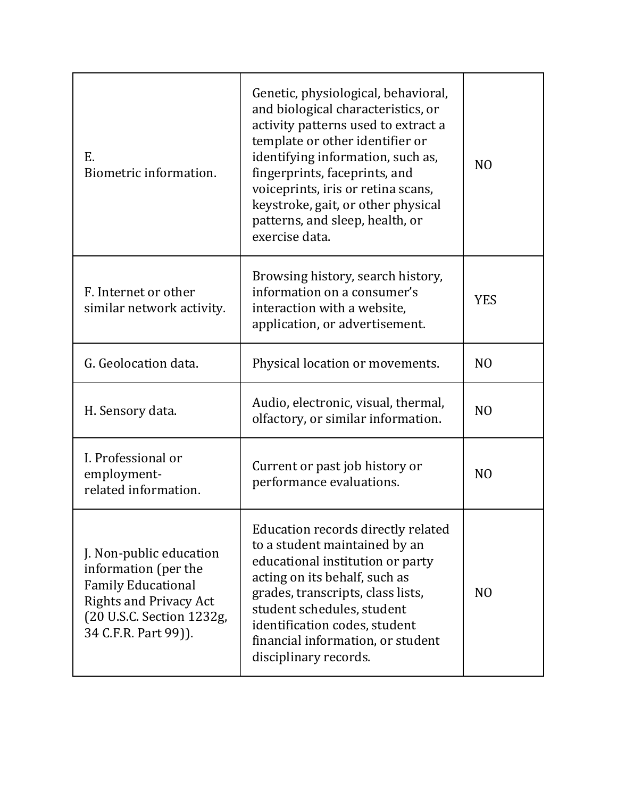| E.<br>Biometric information.                                                                                                                                       | Genetic, physiological, behavioral,<br>and biological characteristics, or<br>activity patterns used to extract a<br>template or other identifier or<br>identifying information, such as,<br>fingerprints, faceprints, and<br>voiceprints, iris or retina scans,<br>keystroke, gait, or other physical<br>patterns, and sleep, health, or<br>exercise data. | N <sub>0</sub> |
|--------------------------------------------------------------------------------------------------------------------------------------------------------------------|------------------------------------------------------------------------------------------------------------------------------------------------------------------------------------------------------------------------------------------------------------------------------------------------------------------------------------------------------------|----------------|
| F. Internet or other<br>similar network activity.                                                                                                                  | Browsing history, search history,<br>information on a consumer's<br>interaction with a website,<br>application, or advertisement.                                                                                                                                                                                                                          | <b>YES</b>     |
| G. Geolocation data.                                                                                                                                               | Physical location or movements.                                                                                                                                                                                                                                                                                                                            | N <sub>O</sub> |
| H. Sensory data.                                                                                                                                                   | Audio, electronic, visual, thermal,<br>olfactory, or similar information.                                                                                                                                                                                                                                                                                  | NO             |
| I. Professional or<br>employment-<br>related information.                                                                                                          | Current or past job history or<br>performance evaluations.                                                                                                                                                                                                                                                                                                 | N <sub>O</sub> |
| J. Non-public education<br>information (per the<br><b>Family Educational</b><br><b>Rights and Privacy Act</b><br>(20 U.S.C. Section 1232g,<br>34 C.F.R. Part 99)). | Education records directly related<br>to a student maintained by an<br>educational institution or party<br>acting on its behalf, such as<br>grades, transcripts, class lists,<br>student schedules, student<br>identification codes, student<br>financial information, or student<br>disciplinary records.                                                 | N <sub>O</sub> |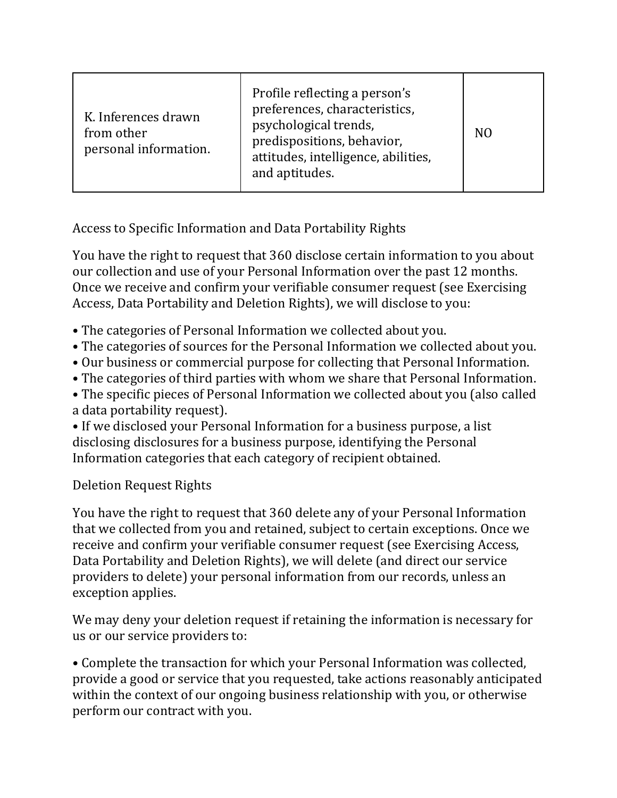| K. Inferences drawn<br>from other<br>personal information. | Profile reflecting a person's<br>preferences, characteristics,<br>psychological trends,<br>predispositions, behavior,<br>attitudes, intelligence, abilities,<br>and aptitudes. | N <sub>0</sub> |
|------------------------------------------------------------|--------------------------------------------------------------------------------------------------------------------------------------------------------------------------------|----------------|
|------------------------------------------------------------|--------------------------------------------------------------------------------------------------------------------------------------------------------------------------------|----------------|

Access to Specific Information and Data Portability Rights

You have the right to request that 360 disclose certain information to you about our collection and use of your Personal Information over the past 12 months. Once we receive and confirm your verifiable consumer request (see Exercising Access, Data Portability and Deletion Rights), we will disclose to you:

- The categories of Personal Information we collected about you.
- The categories of sources for the Personal Information we collected about you.
- Our business or commercial purpose for collecting that Personal Information.
- The categories of third parties with whom we share that Personal Information.
- The specific pieces of Personal Information we collected about you (also called a data portability request).
- If we disclosed your Personal Information for a business purpose, a list disclosing disclosures for a business purpose, identifying the Personal Information categories that each category of recipient obtained.

Deletion Request Rights

You have the right to request that 360 delete any of your Personal Information that we collected from you and retained, subject to certain exceptions. Once we receive and confirm your verifiable consumer request (see Exercising Access, Data Portability and Deletion Rights), we will delete (and direct our service providers to delete) your personal information from our records, unless an exception applies.

We may deny your deletion request if retaining the information is necessary for us or our service providers to:

• Complete the transaction for which your Personal Information was collected, provide a good or service that you requested, take actions reasonably anticipated within the context of our ongoing business relationship with you, or otherwise perform our contract with you.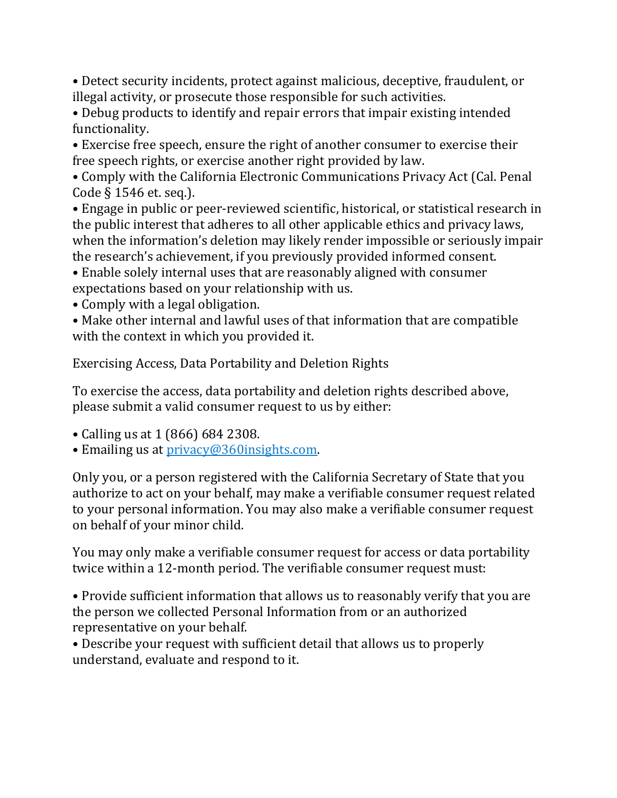• Detect security incidents, protect against malicious, deceptive, fraudulent, or illegal activity, or prosecute those responsible for such activities.

• Debug products to identify and repair errors that impair existing intended functionality.

• Exercise free speech, ensure the right of another consumer to exercise their free speech rights, or exercise another right provided by law.

• Comply with the California Electronic Communications Privacy Act (Cal. Penal Code § 1546 et. seq.).

• Engage in public or peer-reviewed scientific, historical, or statistical research in the public interest that adheres to all other applicable ethics and privacy laws, when the information's deletion may likely render impossible or seriously impair the research's achievement, if you previously provided informed consent.

• Enable solely internal uses that are reasonably aligned with consumer expectations based on your relationship with us.

• Comply with a legal obligation.

• Make other internal and lawful uses of that information that are compatible with the context in which you provided it.

Exercising Access, Data Portability and Deletion Rights

To exercise the access, data portability and deletion rights described above, please submit a valid consumer request to us by either:

- Calling us at 1 (866) 684 2308.
- Emailing us at [privacy@360insights.com.](mailto:privacy@360insights.com)

Only you, or a person registered with the California Secretary of State that you authorize to act on your behalf, may make a verifiable consumer request related to your personal information. You may also make a verifiable consumer request on behalf of your minor child.

You may only make a verifiable consumer request for access or data portability twice within a 12-month period. The verifiable consumer request must:

• Provide sufficient information that allows us to reasonably verify that you are the person we collected Personal Information from or an authorized representative on your behalf.

• Describe your request with sufficient detail that allows us to properly understand, evaluate and respond to it.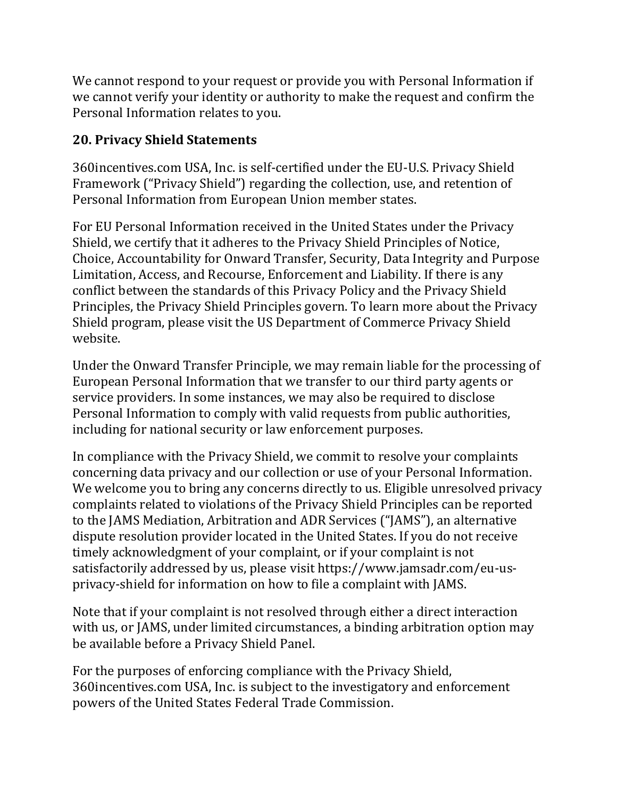We cannot respond to your request or provide you with Personal Information if we cannot verify your identity or authority to make the request and confirm the Personal Information relates to you.

### **20. Privacy Shield Statements**

360incentives.com USA, Inc. is self-certified under the EU-U.S. Privacy Shield Framework ("Privacy Shield") regarding the collection, use, and retention of Personal Information from European Union member states.

For EU Personal Information received in the United States under the Privacy Shield, we certify that it adheres to the Privacy Shield Principles of Notice, Choice, Accountability for Onward Transfer, Security, Data Integrity and Purpose Limitation, Access, and Recourse, Enforcement and Liability. If there is any conflict between the standards of this Privacy Policy and the Privacy Shield Principles, the Privacy Shield Principles govern. To learn more about the Privacy Shield program, please visit the US Department of Commerce Privacy Shield website.

Under the Onward Transfer Principle, we may remain liable for the processing of European Personal Information that we transfer to our third party agents or service providers. In some instances, we may also be required to disclose Personal Information to comply with valid requests from public authorities, including for national security or law enforcement purposes.

In compliance with the Privacy Shield, we commit to resolve your complaints concerning data privacy and our collection or use of your Personal Information. We welcome you to bring any concerns directly to us. Eligible unresolved privacy complaints related to violations of the Privacy Shield Principles can be reported to the JAMS Mediation, Arbitration and ADR Services ("JAMS"), an alternative dispute resolution provider located in the United States. If you do not receive timely acknowledgment of your complaint, or if your complaint is not satisfactorily addressed by us, please visit https://www.jamsadr.com/eu-usprivacy-shield for information on how to file a complaint with JAMS.

Note that if your complaint is not resolved through either a direct interaction with us, or JAMS, under limited circumstances, a binding arbitration option may be available before a Privacy Shield Panel.

For the purposes of enforcing compliance with the Privacy Shield, 360incentives.com USA, Inc. is subject to the investigatory and enforcement powers of the United States Federal Trade Commission.